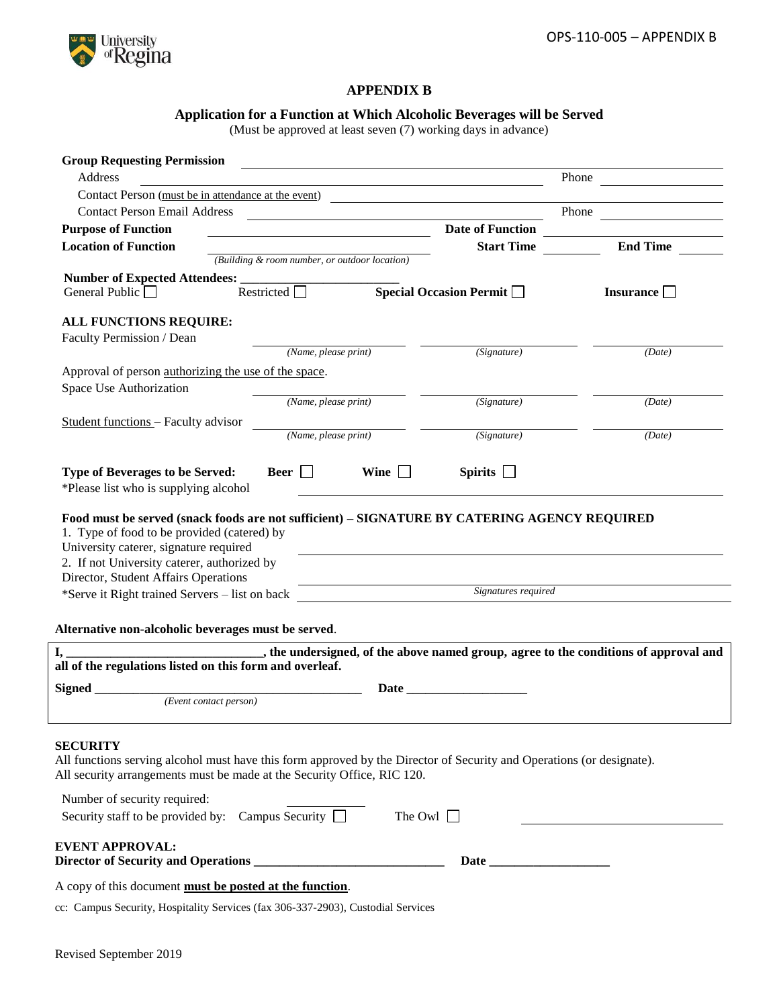

# **APPENDIX B**

### **Application for a Function at Which Alcoholic Beverages will be Served**

(Must be approved at least seven (7) working days in advance)

| <b>Group Requesting Permission</b>                                                                                                                                                               |                                                             |                                                                                           |                  |
|--------------------------------------------------------------------------------------------------------------------------------------------------------------------------------------------------|-------------------------------------------------------------|-------------------------------------------------------------------------------------------|------------------|
| Address                                                                                                                                                                                          |                                                             |                                                                                           | Phone            |
| Contact Person (must be in attendance at the event)                                                                                                                                              |                                                             | the control of the control of the control of the control of the control of the control of |                  |
| <b>Contact Person Email Address</b>                                                                                                                                                              | <u> 1989 - Johann Stein, Amerikaansk politiker (* 1958)</u> |                                                                                           |                  |
| <b>Purpose of Function</b>                                                                                                                                                                       | <u> 1980 - Johann Barbara, martin d</u>                     | <b>Date of Function</b>                                                                   |                  |
| <b>Location of Function</b>                                                                                                                                                                      |                                                             | <b>Start Time</b>                                                                         | <b>End Time</b>  |
|                                                                                                                                                                                                  | (Building & room number, or outdoor location)               |                                                                                           |                  |
| General Public $\Box$                                                                                                                                                                            | $\overline{\text{Restricted}}$                              | $\overline{\text{Special Occasion Permit}}$                                               |                  |
|                                                                                                                                                                                                  |                                                             |                                                                                           | Insurance $\Box$ |
| ALL FUNCTIONS REQUIRE:                                                                                                                                                                           |                                                             |                                                                                           |                  |
| Faculty Permission / Dean                                                                                                                                                                        |                                                             |                                                                                           |                  |
|                                                                                                                                                                                                  | (Name, please print)                                        | (Signature)                                                                               | (Date)           |
| Approval of person authorizing the use of the space.                                                                                                                                             |                                                             |                                                                                           |                  |
| Space Use Authorization                                                                                                                                                                          |                                                             |                                                                                           |                  |
|                                                                                                                                                                                                  | (Name, please print)                                        | (Signature)                                                                               | (Date)           |
| Student functions - Faculty advisor                                                                                                                                                              |                                                             |                                                                                           |                  |
|                                                                                                                                                                                                  | (Name, please print)                                        | (Signature)                                                                               | (Date)           |
|                                                                                                                                                                                                  |                                                             |                                                                                           |                  |
| Type of Beverages to be Served:<br>*Please list who is supplying alcohol                                                                                                                         | Beer $\Box$<br>Wine $\Box$                                  | Spirits $\Box$                                                                            |                  |
| 2. If not University caterer, authorized by<br>Director, Student Affairs Operations<br>*Serve it Right trained Servers – list on back                                                            |                                                             | <i>Signatures required</i>                                                                |                  |
|                                                                                                                                                                                                  |                                                             |                                                                                           |                  |
| Alternative non-alcoholic beverages must be served.                                                                                                                                              |                                                             |                                                                                           |                  |
| all of the regulations listed on this form and overleaf.                                                                                                                                         |                                                             |                                                                                           |                  |
|                                                                                                                                                                                                  |                                                             |                                                                                           |                  |
| Signed<br>(Event contact person)                                                                                                                                                                 |                                                             |                                                                                           |                  |
|                                                                                                                                                                                                  |                                                             |                                                                                           |                  |
| <b>SECURITY</b>                                                                                                                                                                                  |                                                             |                                                                                           |                  |
| All functions serving alcohol must have this form approved by the Director of Security and Operations (or designate).<br>All security arrangements must be made at the Security Office, RIC 120. |                                                             |                                                                                           |                  |
| Number of security required:                                                                                                                                                                     |                                                             |                                                                                           |                  |
| Security staff to be provided by: Campus Security $\Box$                                                                                                                                         |                                                             | The Owl $\Box$                                                                            |                  |
| <b>EVENT APPROVAL:</b>                                                                                                                                                                           |                                                             |                                                                                           |                  |
|                                                                                                                                                                                                  |                                                             |                                                                                           |                  |
|                                                                                                                                                                                                  |                                                             |                                                                                           |                  |
| A copy of this document must be posted at the function.                                                                                                                                          |                                                             |                                                                                           |                  |